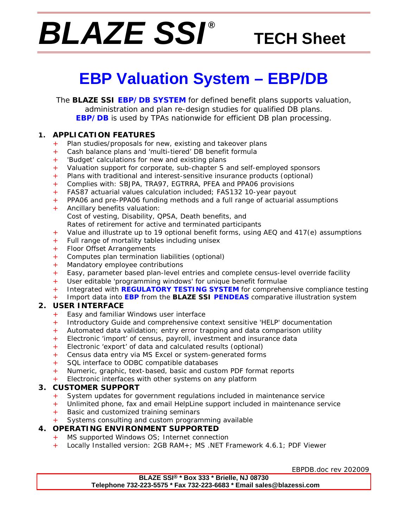# *BLAZE SSI ®*

# **TECH Sheet**

# **EBP Valuation System – EBP/DB**

The **BLAZE SSI EBP/DB SYSTEM** for defined benefit plans supports valuation, administration and plan re-design studies for qualified DB plans. **EBP/DB** is used by TPAs nationwide for efficient DB plan processing.

### **1. APPLICATION FEATURES**

- + Plan studies/proposals for new, existing and takeover plans
- Cash balance plans and 'multi-tiered' DB benefit formula
- 'Budget' calculations for new and existing plans
- + Valuation support for corporate, sub-chapter S and self-employed sponsors
- + Plans with traditional and interest-sensitive insurance products (optional)
- + Complies with: SBJPA, TRA97, EGTRRA, PFEA and PPA06 provisions
- + FAS87 actuarial values calculation included; FAS132 10-year payout
- + PPA06 and pre-PPA06 funding methods and a full range of actuarial assumptions
- Ancillary benefits valuation: Cost of vesting, Disability, QPSA, Death benefits, and Rates of retirement for active and terminated participants
- + Value and illustrate up to 19 optional benefit forms, using AEQ and 417(e) assumptions
- + Full range of mortality tables including unisex
- + Floor Offset Arrangements
- + Computes plan termination liabilities (optional)
- + Mandatory employee contributions
- + Easy, parameter based plan-level entries and complete census-level override facility
- + User editable 'programming windows' for unique benefit formulae
- + Integrated with **REGULATORY TESTING SYSTEM** for comprehensive compliance testing
- + Import data into **EBP** from the **BLAZE SSI PENDEAS** comparative illustration system

### **2. USER INTERFACE**

- Easy and familiar Windows user interface
- Introductory Guide and comprehensive context sensitive 'HELP' documentation
- + Automated data validation; entry error trapping and data comparison utility
- + Electronic 'import' of census, payroll, investment and insurance data
- + Electronic 'export' of data and calculated results (optional)
- + Census data entry via MS Excel or system-generated forms
- SQL interface to ODBC compatible databases
- Numeric, graphic, text-based, basic and custom PDF format reports
- Electronic interfaces with other systems on any platform

### **3. CUSTOMER SUPPORT**

- + System updates for government regulations included in maintenance service
- Unlimited phone, fax and email HelpLine support included in maintenance service
- + Basic and customized training seminars
- Systems consulting and custom programming available

### **4. OPERATING ENVIRONMENT SUPPORTED**

- + MS supported Windows OS; Internet connection
- + Locally Installed version: 2GB RAM+; MS .NET Framework 4.6.1; PDF Viewer

EBPDB.doc rev 202009